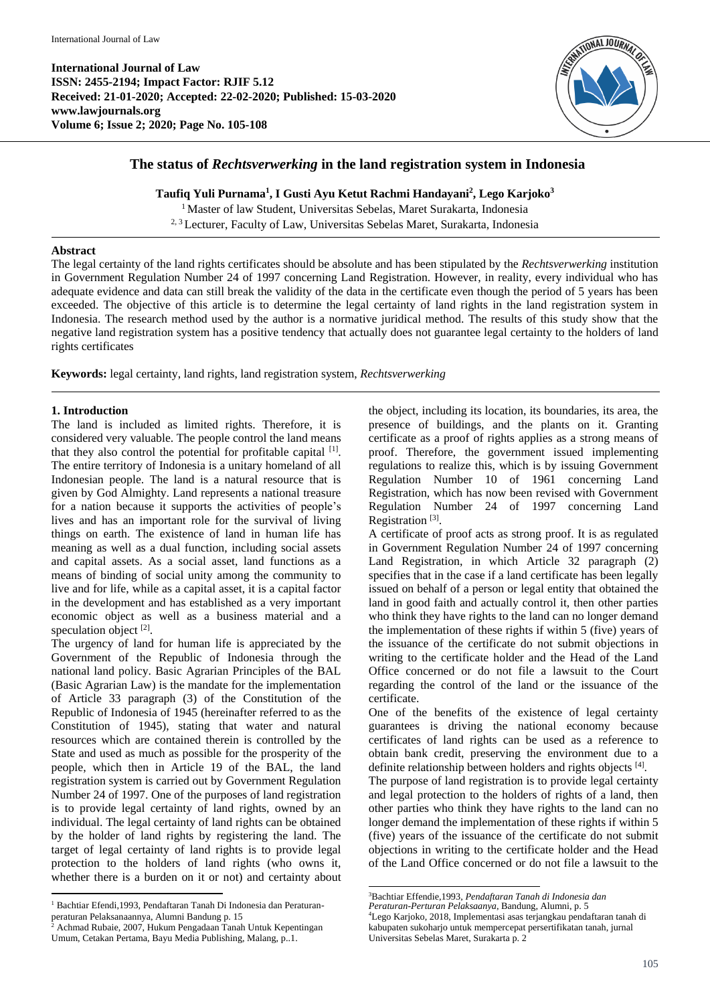**International Journal of Law ISSN: 2455-2194; Impact Factor: RJIF 5.12 Received: 21-01-2020; Accepted: 22-02-2020; Published: 15-03-2020 www.lawjournals.org Volume 6; Issue 2; 2020; Page No. 105-108**



# **The status of** *Rechtsverwerking* **in the land registration system in Indonesia**

**Taufiq Yuli Purnama<sup>1</sup> , I Gusti Ayu Ketut Rachmi Handayani<sup>2</sup> , Lego Karjoko<sup>3</sup>**

<sup>1</sup> Master of law Student, Universitas Sebelas, Maret Surakarta, Indonesia

2, <sup>3</sup> Lecturer, Faculty of Law, Universitas Sebelas Maret, Surakarta, Indonesia

## **Abstract**

The legal certainty of the land rights certificates should be absolute and has been stipulated by the *Rechtsverwerking* institution in Government Regulation Number 24 of 1997 concerning Land Registration. However, in reality, every individual who has adequate evidence and data can still break the validity of the data in the certificate even though the period of 5 years has been exceeded. The objective of this article is to determine the legal certainty of land rights in the land registration system in Indonesia. The research method used by the author is a normative juridical method. The results of this study show that the negative land registration system has a positive tendency that actually does not guarantee legal certainty to the holders of land rights certificates

**Keywords:** legal certainty, land rights, land registration system, *Rechtsverwerking*

## **1. Introduction**

The land is included as limited rights. Therefore, it is considered very valuable. The people control the land means that they also control the potential for profitable capital [1]. The entire territory of Indonesia is a unitary homeland of all Indonesian people. The land is a natural resource that is given by God Almighty. Land represents a national treasure for a nation because it supports the activities of people's lives and has an important role for the survival of living things on earth. The existence of land in human life has meaning as well as a dual function, including social assets and capital assets. As a social asset, land functions as a means of binding of social unity among the community to live and for life, while as a capital asset, it is a capital factor in the development and has established as a very important economic object as well as a business material and a speculation object [2].

The urgency of land for human life is appreciated by the Government of the Republic of Indonesia through the national land policy. Basic Agrarian Principles of the BAL (Basic Agrarian Law) is the mandate for the implementation of Article 33 paragraph (3) of the Constitution of the Republic of Indonesia of 1945 (hereinafter referred to as the Constitution of 1945), stating that water and natural resources which are contained therein is controlled by the State and used as much as possible for the prosperity of the people, which then in Article 19 of the BAL, the land registration system is carried out by Government Regulation Number 24 of 1997. One of the purposes of land registration is to provide legal certainty of land rights, owned by an individual. The legal certainty of land rights can be obtained by the holder of land rights by registering the land. The target of legal certainty of land rights is to provide legal protection to the holders of land rights (who owns it, whether there is a burden on it or not) and certainty about

the object, including its location, its boundaries, its area, the presence of buildings, and the plants on it. Granting certificate as a proof of rights applies as a strong means of proof. Therefore, the government issued implementing regulations to realize this, which is by issuing Government Regulation Number 10 of 1961 concerning Land Registration, which has now been revised with Government Regulation Number 24 of 1997 concerning Land Registration<sup>[3]</sup>.

A certificate of proof acts as strong proof. It is as regulated in Government Regulation Number 24 of 1997 concerning Land Registration, in which Article 32 paragraph (2) specifies that in the case if a land certificate has been legally issued on behalf of a person or legal entity that obtained the land in good faith and actually control it, then other parties who think they have rights to the land can no longer demand the implementation of these rights if within 5 (five) years of the issuance of the certificate do not submit objections in writing to the certificate holder and the Head of the Land Office concerned or do not file a lawsuit to the Court regarding the control of the land or the issuance of the certificate.

One of the benefits of the existence of legal certainty guarantees is driving the national economy because certificates of land rights can be used as a reference to obtain bank credit, preserving the environment due to a definite relationship between holders and rights objects [4].

The purpose of land registration is to provide legal certainty and legal protection to the holders of rights of a land, then other parties who think they have rights to the land can no longer demand the implementation of these rights if within 5 (five) years of the issuance of the certificate do not submit objections in writing to the certificate holder and the Head of the Land Office concerned or do not file a lawsuit to the

 $\overline{a}$ <sup>1</sup> Bachtiar Efendi,1993, Pendaftaran Tanah Di Indonesia dan Peraturanperaturan Pelaksanaannya, Alumni Bandung p. 15<br>
<sup>2</sup> Aghmad Pulati 2005 Frantia

<sup>2</sup> Achmad Rubaie, 2007, Hukum Pengadaan Tanah Untuk Kepentingan Umum, Cetakan Pertama, Bayu Media Publishing, Malang, p..1.

 <sup>3</sup>Bachtiar Effendie,1993, *Pendaftaran Tanah di Indonesia dan* 

*Peraturan-Perturan Pelaksaanya*, Bandung, Alumni, p. 5

<sup>4</sup>Lego Karjoko, 2018, Implementasi asas terjangkau pendaftaran tanah di kabupaten sukoharjo untuk mempercepat persertifikatan tanah, jurnal Universitas Sebelas Maret, Surakarta p. 2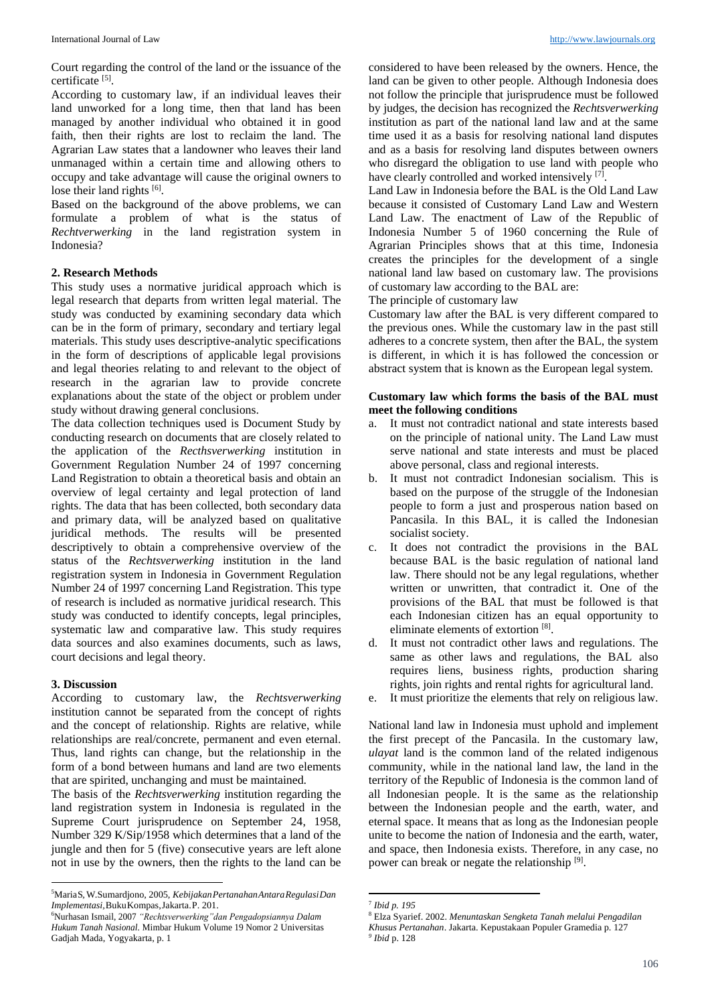Court regarding the control of the land or the issuance of the certificate<sup>[5]</sup>.

According to customary law, if an individual leaves their land unworked for a long time, then that land has been managed by another individual who obtained it in good faith, then their rights are lost to reclaim the land. The Agrarian Law states that a landowner who leaves their land unmanaged within a certain time and allowing others to occupy and take advantage will cause the original owners to lose their land rights [6].

Based on the background of the above problems, we can formulate a problem of what is the status of *Rechtverwerking* in the land registration system in Indonesia?

# **2. Research Methods**

This study uses a normative juridical approach which is legal research that departs from written legal material. The study was conducted by examining secondary data which can be in the form of primary, secondary and tertiary legal materials. This study uses descriptive-analytic specifications in the form of descriptions of applicable legal provisions and legal theories relating to and relevant to the object of research in the agrarian law to provide concrete explanations about the state of the object or problem under study without drawing general conclusions.

The data collection techniques used is Document Study by conducting research on documents that are closely related to the application of the *Recthsverwerking* institution in Government Regulation Number 24 of 1997 concerning Land Registration to obtain a theoretical basis and obtain an overview of legal certainty and legal protection of land rights. The data that has been collected, both secondary data and primary data, will be analyzed based on qualitative juridical methods. The results will be presented descriptively to obtain a comprehensive overview of the status of the *Rechtsverwerking* institution in the land registration system in Indonesia in Government Regulation Number 24 of 1997 concerning Land Registration. This type of research is included as normative juridical research. This study was conducted to identify concepts, legal principles, systematic law and comparative law. This study requires data sources and also examines documents, such as laws, court decisions and legal theory.

#### **3. Discussion**

According to customary law, the *Rechtsverwerking* institution cannot be separated from the concept of rights and the concept of relationship. Rights are relative, while relationships are real/concrete, permanent and even eternal. Thus, land rights can change, but the relationship in the form of a bond between humans and land are two elements that are spirited, unchanging and must be maintained.

The basis of the *Rechtsverwerking* institution regarding the land registration system in Indonesia is regulated in the Supreme Court jurisprudence on September 24, 1958, Number 329 K/Sip/1958 which determines that a land of the jungle and then for 5 (five) consecutive years are left alone not in use by the owners, then the rights to the land can be considered to have been released by the owners. Hence, the land can be given to other people. Although Indonesia does not follow the principle that jurisprudence must be followed by judges, the decision has recognized the *Rechtsverwerking* institution as part of the national land law and at the same time used it as a basis for resolving national land disputes and as a basis for resolving land disputes between owners who disregard the obligation to use land with people who have clearly controlled and worked intensively [7].

Land Law in Indonesia before the BAL is the Old Land Law because it consisted of Customary Land Law and Western Land Law. The enactment of Law of the Republic of Indonesia Number 5 of 1960 concerning the Rule of Agrarian Principles shows that at this time, Indonesia creates the principles for the development of a single national land law based on customary law. The provisions of customary law according to the BAL are:

The principle of customary law

Customary law after the BAL is very different compared to the previous ones. While the customary law in the past still adheres to a concrete system, then after the BAL, the system is different, in which it is has followed the concession or abstract system that is known as the European legal system.

#### **Customary law which forms the basis of the BAL must meet the following conditions**

- a. It must not contradict national and state interests based on the principle of national unity. The Land Law must serve national and state interests and must be placed above personal, class and regional interests.
- b. It must not contradict Indonesian socialism. This is based on the purpose of the struggle of the Indonesian people to form a just and prosperous nation based on Pancasila. In this BAL, it is called the Indonesian socialist society.
- c. It does not contradict the provisions in the BAL because BAL is the basic regulation of national land law. There should not be any legal regulations, whether written or unwritten, that contradict it. One of the provisions of the BAL that must be followed is that each Indonesian citizen has an equal opportunity to eliminate elements of extortion [8].
- d. It must not contradict other laws and regulations. The same as other laws and regulations, the BAL also requires liens, business rights, production sharing rights, join rights and rental rights for agricultural land.
- e. It must prioritize the elements that rely on religious law.

National land law in Indonesia must uphold and implement the first precept of the Pancasila. In the customary law, *ulayat* land is the common land of the related indigenous community, while in the national land law, the land in the territory of the Republic of Indonesia is the common land of all Indonesian people. It is the same as the relationship between the Indonesian people and the earth, water, and eternal space. It means that as long as the Indonesian people unite to become the nation of Indonesia and the earth, water, and space, then Indonesia exists. Therefore, in any case, no power can break or negate the relationship [9].

 $\overline{a}$ <sup>5</sup>MariaS, W.Sumardjono, 2005, *KebijakanPertanahanAntaraRegulasiDan Implementasi,*BukuKompas,Jakarta.P. 201.

<sup>6</sup>Nurhasan Ismail, 2007 *"Rechtsverwerking"dan Pengadopsiannya Dalam Hukum Tanah Nasional.* Mimbar Hukum Volume 19 Nomor 2 Universitas Gadjah Mada, Yogyakarta, p. 1

**<sup>.</sup>** 7 *Ibid p. 195*

<sup>8</sup> Elza Syarief. 2002. *Menuntaskan Sengketa Tanah melalui Pengadilan Khusus Pertanahan*. Jakarta. Kepustakaan Populer Gramedia p. 127

*<sup>9</sup> Ibid* p. 128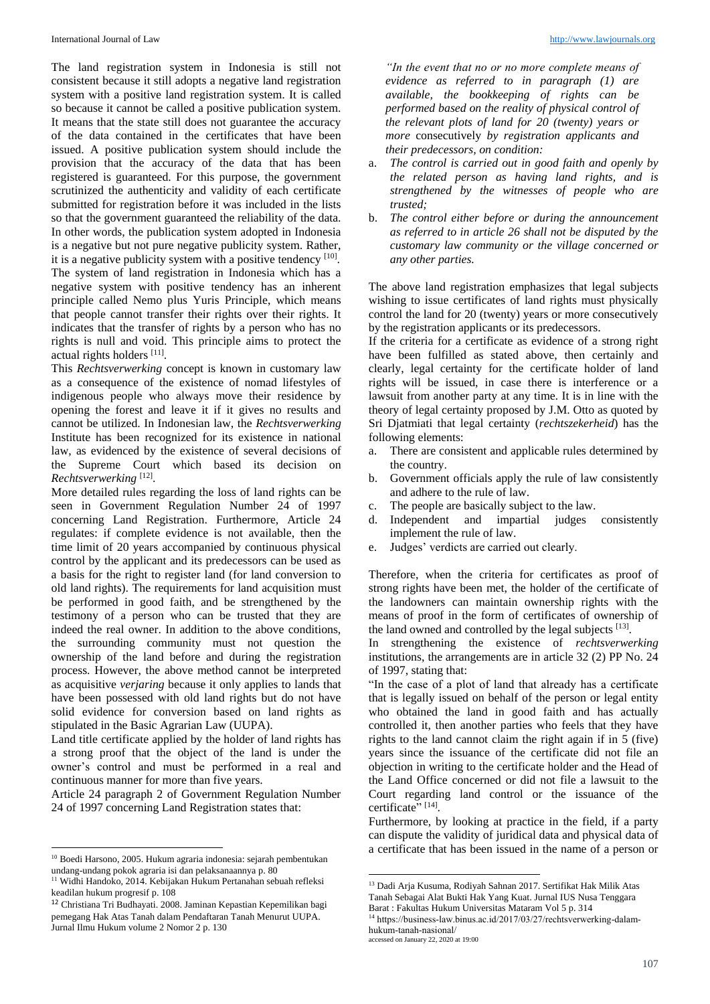The land registration system in Indonesia is still not consistent because it still adopts a negative land registration system with a positive land registration system. It is called so because it cannot be called a positive publication system. It means that the state still does not guarantee the accuracy of the data contained in the certificates that have been issued. A positive publication system should include the provision that the accuracy of the data that has been registered is guaranteed. For this purpose, the government scrutinized the authenticity and validity of each certificate submitted for registration before it was included in the lists so that the government guaranteed the reliability of the data. In other words, the publication system adopted in Indonesia is a negative but not pure negative publicity system. Rather, it is a negative publicity system with a positive tendency [10].

The system of land registration in Indonesia which has a negative system with positive tendency has an inherent principle called Nemo plus Yuris Principle, which means that people cannot transfer their rights over their rights. It indicates that the transfer of rights by a person who has no rights is null and void. This principle aims to protect the actual rights holders [11].

This *Rechtsverwerking* concept is known in customary law as a consequence of the existence of nomad lifestyles of indigenous people who always move their residence by opening the forest and leave it if it gives no results and cannot be utilized. In Indonesian law, the *Rechtsverwerking* Institute has been recognized for its existence in national law, as evidenced by the existence of several decisions of the Supreme Court which based its decision on *Rechtsverwerking* [12] .

More detailed rules regarding the loss of land rights can be seen in Government Regulation Number 24 of 1997 concerning Land Registration. Furthermore, Article 24 regulates: if complete evidence is not available, then the time limit of 20 years accompanied by continuous physical control by the applicant and its predecessors can be used as a basis for the right to register land (for land conversion to old land rights). The requirements for land acquisition must be performed in good faith, and be strengthened by the testimony of a person who can be trusted that they are indeed the real owner. In addition to the above conditions, the surrounding community must not question the ownership of the land before and during the registration process. However, the above method cannot be interpreted as acquisitive *verjaring* because it only applies to lands that have been possessed with old land rights but do not have solid evidence for conversion based on land rights as stipulated in the Basic Agrarian Law (UUPA).

Land title certificate applied by the holder of land rights has a strong proof that the object of the land is under the owner's control and must be performed in a real and continuous manner for more than five years.

Article 24 paragraph 2 of Government Regulation Number 24 of 1997 concerning Land Registration states that:

 $\overline{a}$ 

*"In the event that no or no more complete means of evidence as referred to in paragraph (1) are available, the bookkeeping of rights can be performed based on the reality of physical control of the relevant plots of land for 20 (twenty) years or more* consecutively *by registration applicants and their predecessors, on condition:*

- a. *The control is carried out in good faith and openly by the related person as having land rights, and is strengthened by the witnesses of people who are trusted;*
- b. *The control either before or during the announcement as referred to in article 26 shall not be disputed by the customary law community or the village concerned or any other parties.*

The above land registration emphasizes that legal subjects wishing to issue certificates of land rights must physically control the land for 20 (twenty) years or more consecutively by the registration applicants or its predecessors.

If the criteria for a certificate as evidence of a strong right have been fulfilled as stated above, then certainly and clearly, legal certainty for the certificate holder of land rights will be issued, in case there is interference or a lawsuit from another party at any time. It is in line with the theory of legal certainty proposed by J.M. Otto as quoted by Sri Djatmiati that legal certainty (*rechtszekerheid*) has the following elements:

- a. There are consistent and applicable rules determined by the country.
- b. Government officials apply the rule of law consistently and adhere to the rule of law.
- c. The people are basically subject to the law.
- d. Independent and impartial judges consistently implement the rule of law.
- e. Judges' verdicts are carried out clearly.

Therefore, when the criteria for certificates as proof of strong rights have been met, the holder of the certificate of the landowners can maintain ownership rights with the means of proof in the form of certificates of ownership of the land owned and controlled by the legal subjects  $[13]$ .

In strengthening the existence of *rechtsverwerking* institutions, the arrangements are in article 32 (2) PP No. 24 of 1997, stating that:

"In the case of a plot of land that already has a certificate that is legally issued on behalf of the person or legal entity who obtained the land in good faith and has actually controlled it, then another parties who feels that they have rights to the land cannot claim the right again if in 5 (five) years since the issuance of the certificate did not file an objection in writing to the certificate holder and the Head of the Land Office concerned or did not file a lawsuit to the Court regarding land control or the issuance of the certificate" [14].

Furthermore, by looking at practice in the field, if a party can dispute the validity of juridical data and physical data of a certificate that has been issued in the name of a person or

**.** 

<sup>10</sup> Boedi Harsono, 2005. Hukum agraria indonesia: sejarah pembentukan undang-undang pokok agraria isi dan pelaksanaannya p. 80

<sup>11</sup> Widhi Handoko, 2014. Kebijakan Hukum Pertanahan sebuah refleksi keadilan hukum progresif p. 108

<sup>12</sup> Christiana Tri Budhayati. 2008. Jaminan Kepastian Kepemilikan bagi pemegang Hak Atas Tanah dalam Pendaftaran Tanah Menurut UUPA. Jurnal Ilmu Hukum volume 2 Nomor 2 p. 130

<sup>13</sup> Dadi Arja Kusuma, Rodiyah Sahnan 2017. Sertifikat Hak Milik Atas Tanah Sebagai Alat Bukti Hak Yang Kuat. Jurnal IUS Nusa Tenggara Barat : Fakultas Hukum Universitas Mataram Vol 5 p. 314

<sup>&</sup>lt;sup>14</sup> https://business-law.binus.ac.id/2017/03/27/rechtsverwerking-dalamhukum-tanah-nasional/

accessed on January 22, 2020 at 19:00